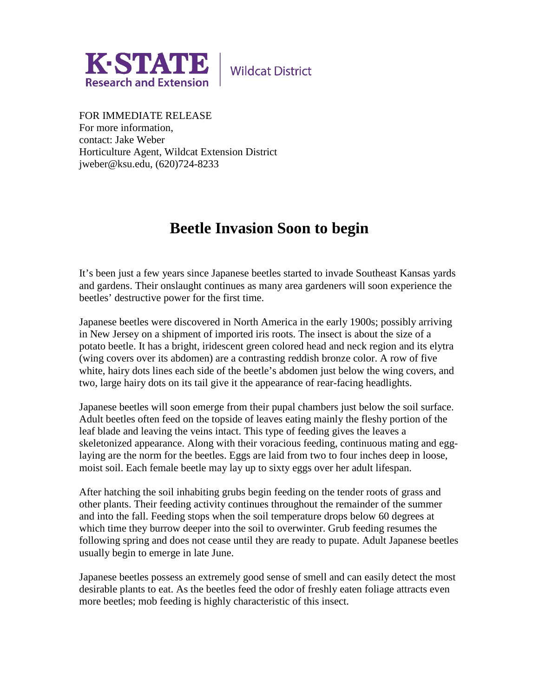

**Wildcat District** 

FOR IMMEDIATE RELEASE For more information, contact: Jake Weber Horticulture Agent, Wildcat Extension District jweber@ksu.edu, (620)724-8233

## **Beetle Invasion Soon to begin**

It's been just a few years since Japanese beetles started to invade Southeast Kansas yards and gardens. Their onslaught continues as many area gardeners will soon experience the beetles' destructive power for the first time.

Japanese beetles were discovered in North America in the early 1900s; possibly arriving in New Jersey on a shipment of imported iris roots. The insect is about the size of a potato beetle. It has a bright, iridescent green colored head and neck region and its elytra (wing covers over its abdomen) are a contrasting reddish bronze color. A row of five white, hairy dots lines each side of the beetle's abdomen just below the wing covers, and two, large hairy dots on its tail give it the appearance of rear-facing headlights.

Japanese beetles will soon emerge from their pupal chambers just below the soil surface. Adult beetles often feed on the topside of leaves eating mainly the fleshy portion of the leaf blade and leaving the veins intact. This type of feeding gives the leaves a skeletonized appearance. Along with their voracious feeding, continuous mating and egglaying are the norm for the beetles. Eggs are laid from two to four inches deep in loose, moist soil. Each female beetle may lay up to sixty eggs over her adult lifespan.

After hatching the soil inhabiting grubs begin feeding on the tender roots of grass and other plants. Their feeding activity continues throughout the remainder of the summer and into the fall. Feeding stops when the soil temperature drops below 60 degrees at which time they burrow deeper into the soil to overwinter. Grub feeding resumes the following spring and does not cease until they are ready to pupate. Adult Japanese beetles usually begin to emerge in late June.

Japanese beetles possess an extremely good sense of smell and can easily detect the most desirable plants to eat. As the beetles feed the odor of freshly eaten foliage attracts even more beetles; mob feeding is highly characteristic of this insect.